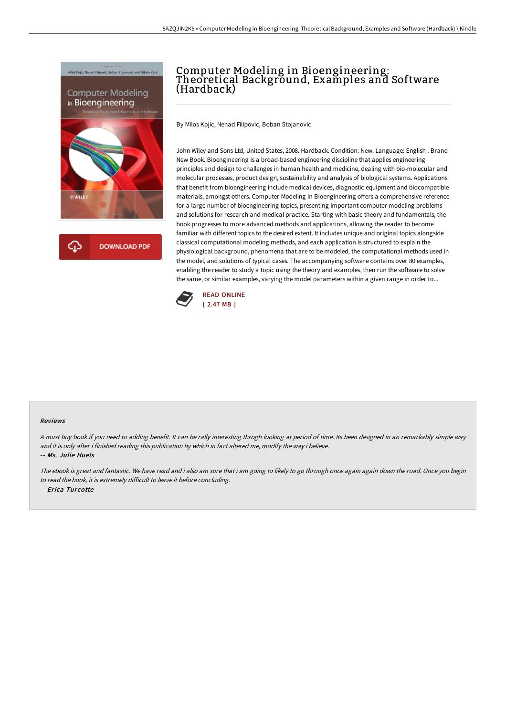



## Computer Modeling in Bioengineering: Theoretical Background, Examples and Software (Hardback)

By Milos Kojic, Nenad Filipovic, Boban Stojanovic

John Wiley and Sons Ltd, United States, 2008. Hardback. Condition: New. Language: English . Brand New Book. Bioengineering is a broad-based engineering discipline that applies engineering principles and design to challenges in human health and medicine, dealing with bio-molecular and molecular processes, product design, sustainability and analysis of biological systems. Applications that benefit from bioengineering include medical devices, diagnostic equipment and biocompatible materials, amongst others. Computer Modeling in Bioengineering offers a comprehensive reference for a large number of bioengineering topics, presenting important computer modeling problems and solutions for research and medical practice. Starting with basic theory and fundamentals, the book progresses to more advanced methods and applications, allowing the reader to become familiar with different topics to the desired extent. It includes unique and original topics alongside classical computational modeling methods, and each application is structured to explain the physiological background, phenomena that are to be modeled, the computational methods used in the model, and solutions of typical cases. The accompanying software contains over 80 examples, enabling the reader to study a topic using the theory and examples, then run the software to solve the same, or similar examples, varying the model parameters within a given range in order to...



## Reviews

A must buy book if you need to adding benefit. It can be rally interesting throgh looking at period of time. Its been designed in an remarkably simple way and it is only after i finished reading this publication by which in fact altered me, modify the way i believe. -- Ms. Julie Huels

The ebook is great and fantastic. We have read and i also am sure that i am going to likely to go through once again again down the road. Once you begin to read the book, it is extremely difficult to leave it before concluding. -- Erica Turcotte